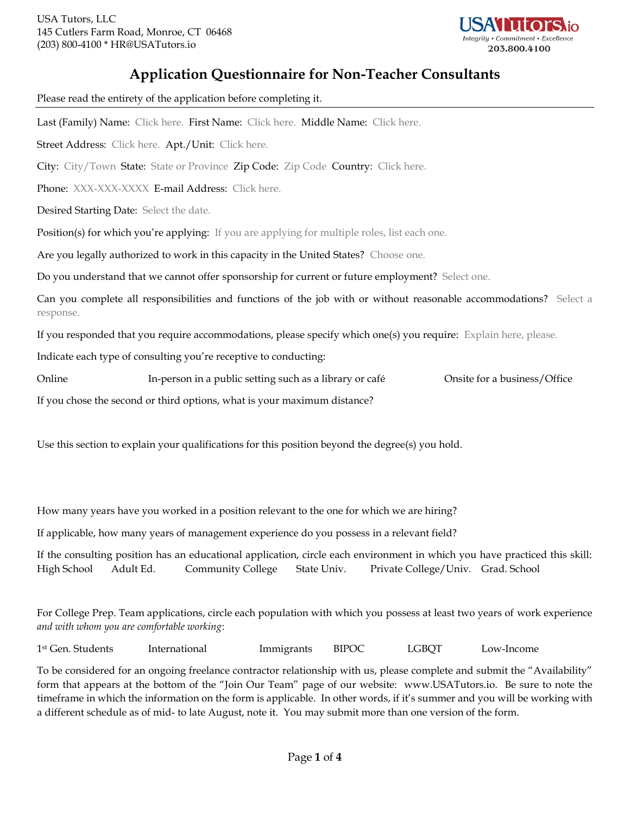

# **Application Questionnaire for Non-Teacher Consultants**

Please read the entirety of the application before completing it. Last (Family) Name: Click here. First Name: Click here. Middle Name: Click here. Street Address: Click here. Apt./Unit: Click here. City: City/Town State: State or Province Zip Code: Zip Code Country: Click here. Phone: XXX-XXX-XXXX E-mail Address: Click here. Desired Starting Date: Select the date. Position(s) for which you're applying: If you are applying for multiple roles, list each one. Are you legally authorized to work in this capacity in the United States? Choose one. Do you understand that we cannot offer sponsorship for current or future employment? Select one. Can you complete all responsibilities and functions of the job with or without reasonable accommodations? Select a response. If you responded that you require accommodations, please specify which one(s) you require: Explain here, please. Indicate each type of consulting you're receptive to conducting: Online In-person in a public setting such as a library or café Onsite for a business/Office If you chose the second or third options, what is your maximum distance? Use this section to explain your qualifications for this position beyond the degree(s) you hold.

How many years have you worked in a position relevant to the one for which we are hiring?

If applicable, how many years of management experience do you possess in a relevant field?

If the consulting position has an educational application, circle each environment in which you have practiced this skill: High School Adult Ed. Community College State Univ. Private College/Univ. Grad. School

For College Prep. Team applications, circle each population with which you possess at least two years of work experience *and with whom you are comfortable working*:

1 st Gen. Students International Immigrants BIPOC LGBQT Low-Income

To be considered for an ongoing freelance contractor relationship with us, please complete and submit the "Availability" form that appears at the bottom of the "Join Our Team" page of our website: www.USATutors.io. Be sure to note the timeframe in which the information on the form is applicable. In other words, if it's summer and you will be working with a different schedule as of mid- to late August, note it. You may submit more than one version of the form.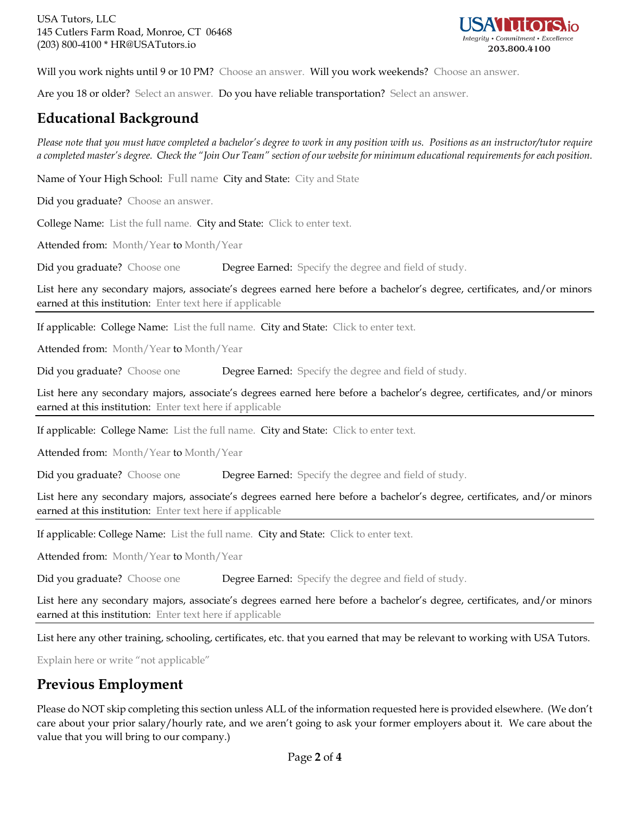

Will you work nights until 9 or 10 PM? Choose an answer. Will you work weekends? Choose an answer.

Are you 18 or older? Select an answer. Do you have reliable transportation? Select an answer.

## **Educational Background**

*Please note that you must have completed a bachelor's degree to work in any position with us. Positions as an instructor/tutor require a completed master's degree. Check the "Join Our Team" section of our website for minimum educational requirements for each position.*

Name of Your High School: Full name City and State: City and State

Did you graduate? Choose an answer.

College Name: List the full name. City and State: Click to enter text.

Attended from: Month/Year to Month/Year

Did you graduate? Choose one Degree Earned: Specify the degree and field of study.

List here any secondary majors, associate's degrees earned here before a bachelor's degree, certificates, and/or minors earned at this institution: Enter text here if applicable

If applicable: College Name: List the full name. City and State: Click to enter text.

Attended from: Month/Year to Month/Year

Did you graduate? Choose one Degree Earned: Specify the degree and field of study.

List here any secondary majors, associate's degrees earned here before a bachelor's degree, certificates, and/or minors earned at this institution: Enter text here if applicable

If applicable: College Name: List the full name. City and State: Click to enter text.

Attended from: Month/Year to Month/Year

Did you graduate? Choose one Degree Earned: Specify the degree and field of study.

List here any secondary majors, associate's degrees earned here before a bachelor's degree, certificates, and/or minors earned at this institution: Enter text here if applicable

If applicable: College Name: List the full name. City and State: Click to enter text.

Attended from: Month/Year to Month/Year

Did you graduate? Choose one Degree Earned: Specify the degree and field of study.

List here any secondary majors, associate's degrees earned here before a bachelor's degree, certificates, and/or minors earned at this institution: Enter text here if applicable

List here any other training, schooling, certificates, etc. that you earned that may be relevant to working with USA Tutors.

Explain here or write "not applicable"

## **Previous Employment**

Please do NOT skip completing this section unless ALL of the information requested here is provided elsewhere. (We don't care about your prior salary/hourly rate, and we aren't going to ask your former employers about it. We care about the value that you will bring to our company.)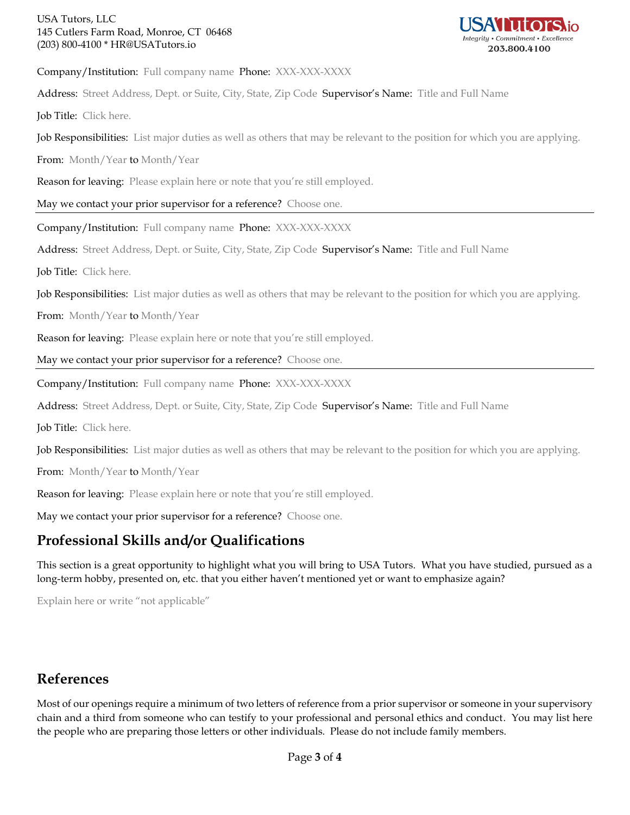### USA Tutors, LLC 145 Cutlers Farm Road, Monroe, CT 06468 (203) 800-4100 \* HR@USATutors.io



Company/Institution: Full company name Phone: XXX-XXX-XXXX

Address: Street Address, Dept. or Suite, City, State, Zip Code Supervisor's Name: Title and Full Name

Job Title: Click here.

Job Responsibilities: List major duties as well as others that may be relevant to the position for which you are applying.

From: Month/Year to Month/Year

Reason for leaving: Please explain here or note that you're still employed.

May we contact your prior supervisor for a reference? Choose one.

Company/Institution: Full company name Phone: XXX-XXX-XXXX

Address: Street Address, Dept. or Suite, City, State, Zip Code Supervisor's Name: Title and Full Name

Job Title: Click here.

Job Responsibilities: List major duties as well as others that may be relevant to the position for which you are applying.

From: Month/Year to Month/Year

Reason for leaving: Please explain here or note that you're still employed.

May we contact your prior supervisor for a reference? Choose one.

Company/Institution: Full company name Phone: XXX-XXX-XXXX

Address: Street Address, Dept. or Suite, City, State, Zip Code Supervisor's Name: Title and Full Name

Job Title: Click here.

Job Responsibilities: List major duties as well as others that may be relevant to the position for which you are applying.

From: Month/Year to Month/Year

Reason for leaving: Please explain here or note that you're still employed.

May we contact your prior supervisor for a reference? Choose one.

## **Professional Skills and/or Qualifications**

This section is a great opportunity to highlight what you will bring to USA Tutors. What you have studied, pursued as a long-term hobby, presented on, etc. that you either haven't mentioned yet or want to emphasize again?

Explain here or write "not applicable"

## **References**

Most of our openings require a minimum of two letters of reference from a prior supervisor or someone in your supervisory chain and a third from someone who can testify to your professional and personal ethics and conduct. You may list here the people who are preparing those letters or other individuals. Please do not include family members.